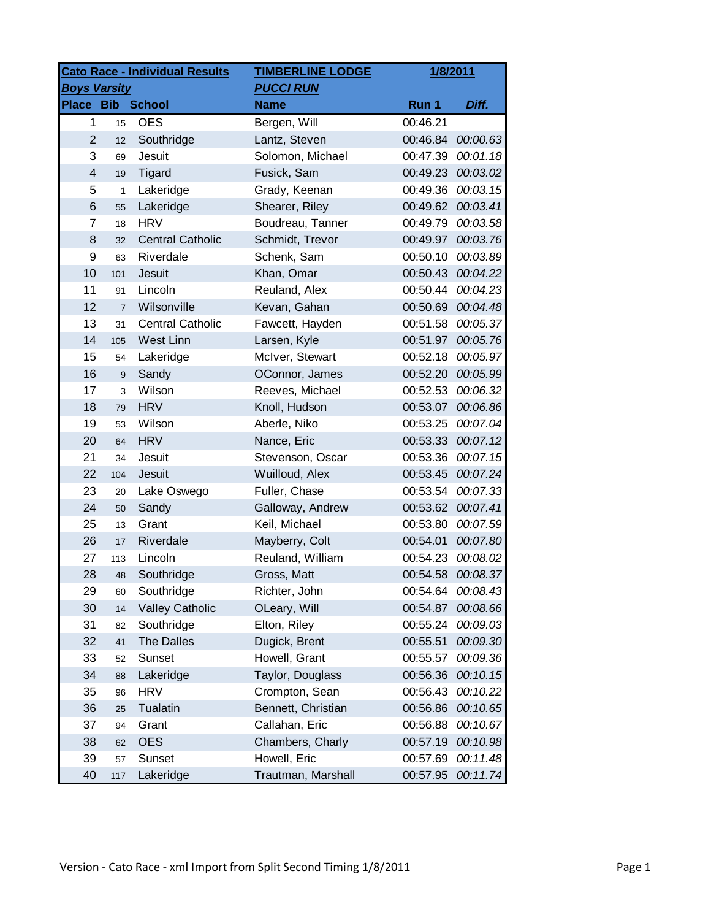| <b>Cato Race - Individual Results</b> |                  |                         | <b>TIMBERLINE LODGE</b> | 1/8/2011 |          |
|---------------------------------------|------------------|-------------------------|-------------------------|----------|----------|
| <b>Boys Varsity</b>                   |                  |                         | <b>PUCCI RUN</b>        |          |          |
|                                       |                  | Place Bib School        | <b>Name</b>             | Run 1    | Diff.    |
| $\mathbf{1}$                          | 15               | <b>OES</b>              | Bergen, Will            | 00:46.21 |          |
| $\overline{2}$                        | 12               | Southridge              | Lantz, Steven           | 00:46.84 | 00:00.63 |
| 3                                     | 69               | Jesuit                  | Solomon, Michael        | 00:47.39 | 00:01.18 |
| $\overline{\mathbf{4}}$               | 19               | Tigard                  | Fusick, Sam             | 00:49.23 | 00:03.02 |
| 5                                     | 1                | Lakeridge               | Grady, Keenan           | 00:49.36 | 00:03.15 |
| 6                                     | 55               | Lakeridge               | Shearer, Riley          | 00:49.62 | 00:03.41 |
| $\overline{7}$                        | 18               | <b>HRV</b>              | Boudreau, Tanner        | 00:49.79 | 00:03.58 |
| 8                                     | 32               | <b>Central Catholic</b> | Schmidt, Trevor         | 00:49.97 | 00:03.76 |
| 9                                     | 63               | Riverdale               | Schenk, Sam             | 00:50.10 | 00:03.89 |
| 10                                    | 101              | Jesuit                  | Khan, Omar              | 00:50.43 | 00:04.22 |
| 11                                    | 91               | Lincoln                 | Reuland, Alex           | 00:50.44 | 00:04.23 |
| 12                                    | $\overline{7}$   | Wilsonville             | Kevan, Gahan            | 00:50.69 | 00:04.48 |
| 13                                    | 31               | <b>Central Catholic</b> | Fawcett, Hayden         | 00:51.58 | 00:05.37 |
| 14                                    | 105              | West Linn               | Larsen, Kyle            | 00:51.97 | 00:05.76 |
| 15                                    | 54               | Lakeridge               | McIver, Stewart         | 00:52.18 | 00:05.97 |
| 16                                    | $\boldsymbol{9}$ | Sandy                   | OConnor, James          | 00:52.20 | 00:05.99 |
| 17                                    | 3                | Wilson                  | Reeves, Michael         | 00:52.53 | 00:06.32 |
| 18                                    | 79               | <b>HRV</b>              | Knoll, Hudson           | 00:53.07 | 00:06.86 |
| 19                                    | 53               | Wilson                  | Aberle, Niko            | 00:53.25 | 00:07.04 |
| 20                                    | 64               | <b>HRV</b>              | Nance, Eric             | 00:53.33 | 00:07.12 |
| 21                                    | 34               | Jesuit                  | Stevenson, Oscar        | 00:53.36 | 00:07.15 |
| 22                                    | 104              | Jesuit                  | Wuilloud, Alex          | 00:53.45 | 00:07.24 |
| 23                                    | 20               | Lake Oswego             | Fuller, Chase           | 00:53.54 | 00:07.33 |
| 24                                    | 50               | Sandy                   | Galloway, Andrew        | 00:53.62 | 00:07.41 |
| 25                                    | 13               | Grant                   | Keil, Michael           | 00:53.80 | 00:07.59 |
| 26                                    | 17               | Riverdale               | Mayberry, Colt          | 00:54.01 | 00:07.80 |
| 27                                    | 113              | Lincoln                 | Reuland, William        | 00:54.23 | 00:08.02 |
| 28                                    | 48               | Southridge              | Gross, Matt             | 00:54.58 | 00:08.37 |
| 29                                    | 60               | Southridge              | Richter, John           | 00:54.64 | 00:08.43 |
| 30                                    | 14               | <b>Valley Catholic</b>  | OLeary, Will            | 00:54.87 | 00:08.66 |
| 31                                    | 82               | Southridge              | Elton, Riley            | 00:55.24 | 00:09.03 |
| 32                                    | 41               | <b>The Dalles</b>       | Dugick, Brent           | 00:55.51 | 00:09.30 |
| 33                                    | 52               | Sunset                  | Howell, Grant           | 00:55.57 | 00:09.36 |
| 34                                    | 88               | Lakeridge               | Taylor, Douglass        | 00:56.36 | 00:10.15 |
| 35                                    | 96               | <b>HRV</b>              | Crompton, Sean          | 00:56.43 | 00:10.22 |
| 36                                    | 25               | Tualatin                | Bennett, Christian      | 00:56.86 | 00:10.65 |
| 37                                    | 94               | Grant                   | Callahan, Eric          | 00:56.88 | 00:10.67 |
| 38                                    | 62               | <b>OES</b>              | Chambers, Charly        | 00:57.19 | 00:10.98 |
| 39                                    | 57               | Sunset                  | Howell, Eric            | 00:57.69 | 00:11.48 |
| 40                                    | 117              | Lakeridge               | Trautman, Marshall      | 00:57.95 | 00:11.74 |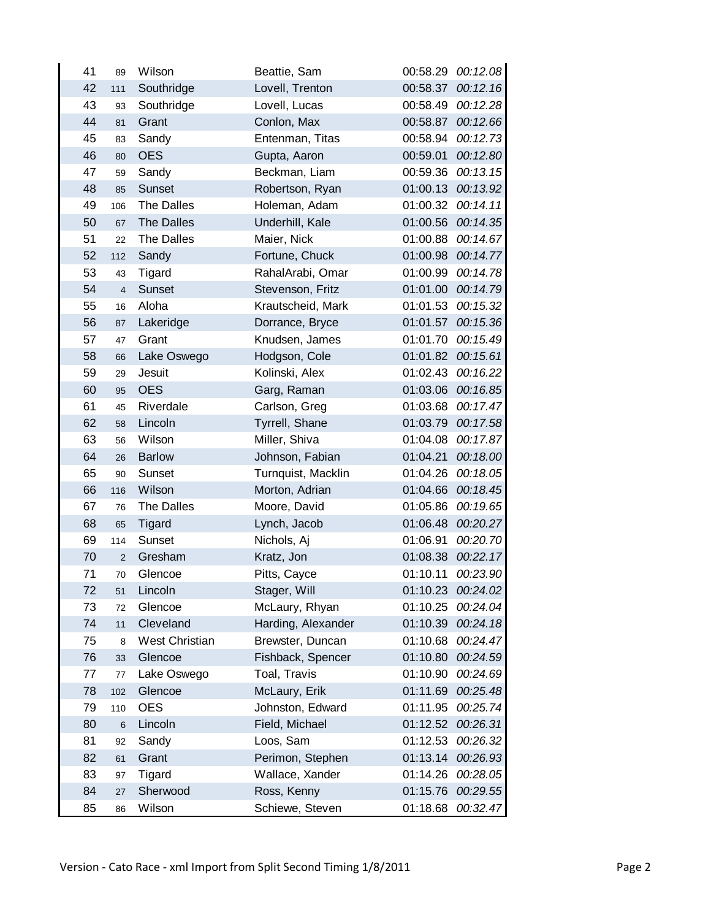| 41 | 89                      | Wilson            | Beattie, Sam       | 00:58.29 | 00:12.08 |
|----|-------------------------|-------------------|--------------------|----------|----------|
| 42 | 111                     | Southridge        | Lovell, Trenton    | 00:58.37 | 00:12.16 |
| 43 | 93                      | Southridge        | Lovell, Lucas      | 00:58.49 | 00:12.28 |
| 44 | 81                      | Grant             | Conlon, Max        | 00:58.87 | 00:12.66 |
| 45 | 83                      | Sandy             | Entenman, Titas    | 00:58.94 | 00:12.73 |
| 46 | 80                      | <b>OES</b>        | Gupta, Aaron       | 00:59.01 | 00:12.80 |
| 47 | 59                      | Sandy             | Beckman, Liam      | 00:59.36 | 00:13.15 |
| 48 | 85                      | <b>Sunset</b>     | Robertson, Ryan    | 01:00.13 | 00:13.92 |
| 49 | 106                     | <b>The Dalles</b> | Holeman, Adam      | 01:00.32 | 00:14.11 |
| 50 | 67                      | The Dalles        | Underhill, Kale    | 01:00.56 | 00:14.35 |
| 51 | 22                      | <b>The Dalles</b> | Maier, Nick        | 01:00.88 | 00:14.67 |
| 52 | 112                     | Sandy             | Fortune, Chuck     | 01:00.98 | 00:14.77 |
| 53 | 43                      | Tigard            | RahalArabi, Omar   | 01:00.99 | 00:14.78 |
| 54 | $\overline{\mathbf{4}}$ | Sunset            | Stevenson, Fritz   | 01:01.00 | 00:14.79 |
| 55 | 16                      | Aloha             | Krautscheid, Mark  | 01:01.53 | 00:15.32 |
| 56 | 87                      | Lakeridge         | Dorrance, Bryce    | 01:01.57 | 00:15.36 |
| 57 | 47                      | Grant             | Knudsen, James     | 01:01.70 | 00:15.49 |
| 58 | 66                      | Lake Oswego       | Hodgson, Cole      | 01:01.82 | 00:15.61 |
| 59 | 29                      | Jesuit            | Kolinski, Alex     | 01:02.43 | 00:16.22 |
| 60 | 95                      | <b>OES</b>        | Garg, Raman        | 01:03.06 | 00:16.85 |
| 61 | 45                      | Riverdale         | Carlson, Greg      | 01:03.68 | 00:17.47 |
| 62 | 58                      | Lincoln           | Tyrrell, Shane     | 01:03.79 | 00:17.58 |
| 63 | 56                      | Wilson            | Miller, Shiva      | 01:04.08 | 00:17.87 |
| 64 | 26                      | <b>Barlow</b>     | Johnson, Fabian    | 01:04.21 | 00:18.00 |
| 65 | 90                      | Sunset            | Turnquist, Macklin | 01:04.26 | 00:18.05 |
| 66 | 116                     | Wilson            | Morton, Adrian     | 01:04.66 | 00:18.45 |
| 67 | 76                      | <b>The Dalles</b> | Moore, David       | 01:05.86 | 00:19.65 |
| 68 | 65                      | Tigard            | Lynch, Jacob       | 01:06.48 | 00:20.27 |
| 69 | 114                     | Sunset            | Nichols, Aj        | 01:06.91 | 00:20.70 |
| 70 | $\mathbf 2$             | Gresham           | Kratz, Jon         | 01:08.38 | 00:22.17 |
| 71 | 70                      | Glencoe           | Pitts, Cayce       | 01:10.11 | 00:23.90 |
| 72 | 51                      | Lincoln           | Stager, Will       | 01:10.23 | 00:24.02 |
| 73 | 72                      | Glencoe           | McLaury, Rhyan     | 01:10.25 | 00:24.04 |
| 74 | 11                      | Cleveland         | Harding, Alexander | 01:10.39 | 00:24.18 |
| 75 | 8                       | West Christian    | Brewster, Duncan   | 01:10.68 | 00:24.47 |
| 76 | 33                      | Glencoe           | Fishback, Spencer  | 01:10.80 | 00:24.59 |
| 77 | $77 \,$                 | Lake Oswego       | Toal, Travis       | 01:10.90 | 00:24.69 |
| 78 | 102                     | Glencoe           | McLaury, Erik      | 01:11.69 | 00:25.48 |
| 79 | 110                     | <b>OES</b>        | Johnston, Edward   | 01:11.95 | 00:25.74 |
| 80 | 6                       | Lincoln           | Field, Michael     | 01:12.52 | 00:26.31 |
| 81 | 92                      | Sandy             | Loos, Sam          | 01:12.53 | 00:26.32 |
| 82 | 61                      | Grant             | Perimon, Stephen   | 01:13.14 | 00:26.93 |
| 83 | 97                      | Tigard            | Wallace, Xander    | 01:14.26 | 00:28.05 |
| 84 | 27                      | Sherwood          | Ross, Kenny        | 01:15.76 | 00:29.55 |
| 85 | 86                      | Wilson            | Schiewe, Steven    | 01:18.68 | 00:32.47 |